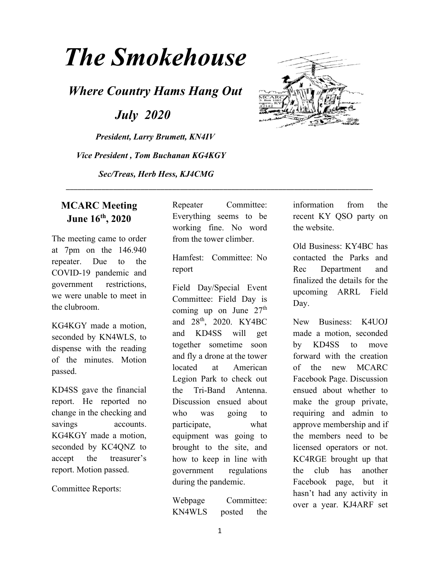# *The Smokehouse*

*Where Country Hams Hang Out*

 *July 2020*

*President, Larry Brumett, KN4IV Vice President , Tom Buchanan KG4KGY Sec/Treas, Herb Hess, KJ4CMG*



## **MCARC Meeting June 16th, 2020**

The meeting came to order at 7pm on the 146.940 repeater. Due to the COVID-19 pandemic and government restrictions, we were unable to meet in the clubroom.

KG4KGY made a motion, seconded by KN4WLS, to dispense with the reading of the minutes. Motion passed.

KD4SS gave the financial report. He reported no change in the checking and savings accounts. KG4KGY made a motion, seconded by KC4QNZ to accept the treasurer's report. Motion passed.

Committee Reports:

Repeater Committee: Everything seems to be working fine. No word from the tower climber.

\_\_\_\_\_\_\_\_\_\_\_\_\_\_\_\_\_\_\_\_\_\_\_\_\_\_\_\_\_\_\_\_\_\_\_\_\_\_\_\_\_\_\_\_\_\_\_\_\_\_\_\_\_\_\_\_\_\_\_\_\_\_\_\_\_\_\_\_\_\_\_\_\_\_\_\_\_\_

Hamfest: Committee: No report

Field Day/Special Event Committee: Field Day is coming up on June  $27<sup>th</sup>$ and 28<sup>th</sup>, 2020. KY4BC and KD4SS will get together sometime soon and fly a drone at the tower located at American Legion Park to check out the Tri-Band Antenna. Discussion ensued about who was going to participate, what equipment was going to brought to the site, and how to keep in line with government regulations during the pandemic.

Webpage Committee: KN4WLS posted the information from the recent KY QSO party on the website.

Old Business: KY4BC has contacted the Parks and Rec Department and finalized the details for the upcoming ARRL Field Day.

New Business: K4UOJ made a motion, seconded by KD4SS to move forward with the creation of the new MCARC Facebook Page. Discussion ensued about whether to make the group private, requiring and admin to approve membership and if the members need to be licensed operators or not. KC4RGE brought up that the club has another Facebook page, but it hasn't had any activity in over a year. KJ4ARF set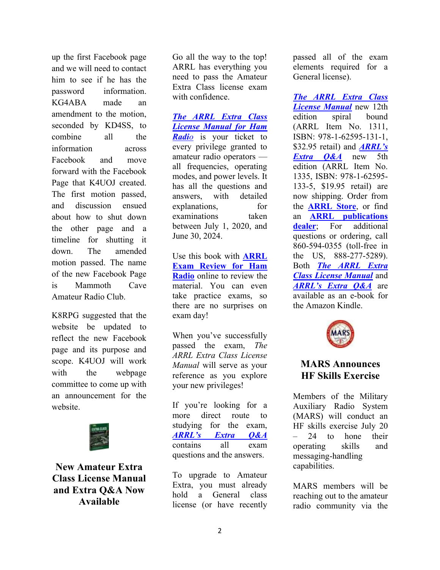up the first Facebook page and we will need to contact him to see if he has the password information. KG4ABA made an amendment to the motion, seconded by KD4SS, to combine all the information across Facebook and move forward with the Facebook Page that K4UOJ created. The first motion passed, and discussion ensued about how to shut down the other page and a timeline for shutting it down. The amended motion passed. The name of the new Facebook Page is Mammoth Cave Amateur Radio Club.

K8RPG suggested that the website be updated to reflect the new Facebook page and its purpose and scope. K4UOJ will work with the webpage committee to come up with an announcement for the website.



**New Amateur Extra Class License Manual and Extra Q&A Now Available**

Go all the way to the top! ARRL has everything you need to pass the Amateur Extra Class license exam with confidence.

*The ARRL Extra Class License Manual for Ham Radio* is your ticket to every privilege granted to amateur radio operators all frequencies, operating modes, and power levels. It has all the questions and answers, with detailed explanations, for examinations taken between July 1, 2020, and June 30, 2024.

Use this book with **ARRL Exam Review for Ham Radio** online to review the material. You can even take practice exams, so there are no surprises on exam day!

When you've successfully passed the exam, *The ARRL Extra Class License Manual* will serve as your reference as you explore your new privileges!

If you're looking for a more direct route to studying for the exam, *ARRL's Extra Q&A* contains all exam questions and the answers.

To upgrade to Amateur Extra, you must already hold a General class license (or have recently

passed all of the exam elements required for a General license).

*The ARRL Extra Class License Manual* new 12th edition spiral bound (ARRL Item No. 1311, ISBN: 978-1-62595-131-1, \$32.95 retail) and *ARRL's Extra Q&A* new 5th edition (ARRL Item No. 1335, ISBN: 978-1-62595- 133-5, \$19.95 retail) are now shipping. Order from the **ARRL Store**, or find an **ARRL publications dealer**; For additional questions or ordering, call 860-594-0355 (toll-free in the US, 888-277-5289). Both *The ARRL Extra Class License Manual* and *ARRL's Extra Q&A* are available as an e-book for the Amazon Kindle.



### **MARS Announces HF Skills Exercise**

Members of the Military Auxiliary Radio System (MARS) will conduct an HF skills exercise July 20 – 24 to hone their operating skills and messaging-handling capabilities.

MARS members will be reaching out to the amateur radio community via the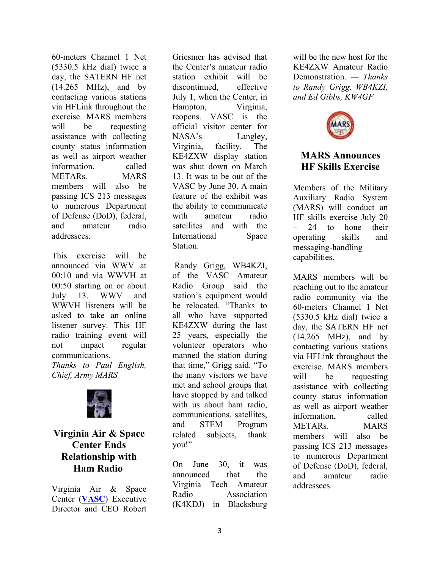60-meters Channel 1 Net (5330.5 kHz dial) twice a day, the SATERN HF net (14.265 MHz), and by contacting various stations via HFLink throughout the exercise. MARS members will be requesting assistance with collecting county status information as well as airport weather information, called METARs. MARS members will also be passing ICS 213 messages to numerous Department of Defense (DoD), federal, and amateur radio addressees.

This exercise will be announced via WWV at 00:10 and via WWVH at 00:50 starting on or about July 13. WWV and WWVH listeners will be asked to take an online listener survey. This HF radio training event will not impact regular communications. *— Thanks to Paul English, Chief, Army MARS*



## **Virginia Air & Space Center Ends Relationship with Ham Radio**

Virginia Air & Space Center (**VASC**) Executive Director and CEO Robert

Griesmer has advised that the Center's amateur radio station exhibit will be discontinued, effective July 1, when the Center, in Hampton, Virginia, reopens. VASC is the official visitor center for NASA's Langley, Virginia, facility. The KE4ZXW display station was shut down on March 13. It was to be out of the VASC by June 30. A main feature of the exhibit was the ability to communicate with amateur radio satellites and with the International Space Station.

Randy Grigg, WB4KZI, of the VASC Amateur Radio Group said the station's equipment would be relocated. "Thanks to all who have supported KE4ZXW during the last 25 years, especially the volunteer operators who manned the station during that time," Grigg said. "To the many visitors we have met and school groups that have stopped by and talked with us about ham radio, communications, satellites, and STEM Program related subjects, thank you!"

On June 30, it was announced that the Virginia Tech Amateur Radio Association (K4KDJ) in Blacksburg will be the new host for the KE4ZXW Amateur Radio Demonstration. *— Thanks to Randy Grigg, WB4KZI, and Ed Gibbs, KW4GF*



#### **MARS Announces HF Skills Exercise**

Members of the Military Auxiliary Radio System (MARS) will conduct an HF skills exercise July 20 – 24 to hone their operating skills and messaging-handling capabilities.

MARS members will be reaching out to the amateur radio community via the 60-meters Channel 1 Net (5330.5 kHz dial) twice a day, the SATERN HF net (14.265 MHz), and by contacting various stations via HFLink throughout the exercise. MARS members will be requesting assistance with collecting county status information as well as airport weather information, called METARs. MARS members will also be passing ICS 213 messages to numerous Department of Defense (DoD), federal, and amateur radio addressees.